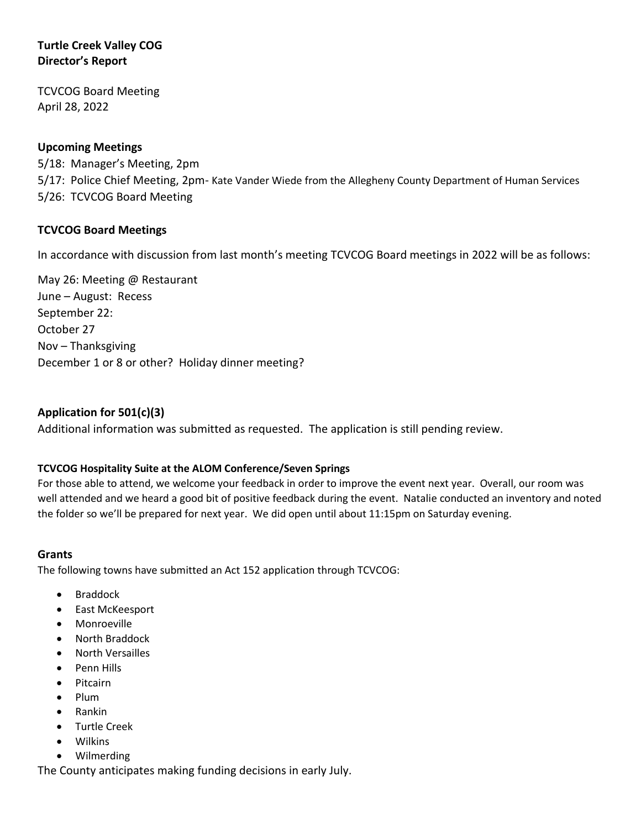# **Turtle Creek Valley COG Director's Report**

TCVCOG Board Meeting April 28, 2022

## **Upcoming Meetings**

5/18: Manager's Meeting, 2pm 5/17: Police Chief Meeting, 2pm- Kate Vander Wiede from the Allegheny County Department of Human Services 5/26: TCVCOG Board Meeting

## **TCVCOG Board Meetings**

In accordance with discussion from last month's meeting TCVCOG Board meetings in 2022 will be as follows:

May 26: Meeting @ Restaurant June – August: Recess September 22: October 27 Nov – Thanksgiving December 1 or 8 or other? Holiday dinner meeting?

# **Application for 501(c)(3)**

Additional information was submitted as requested. The application is still pending review.

### **TCVCOG Hospitality Suite at the ALOM Conference/Seven Springs**

For those able to attend, we welcome your feedback in order to improve the event next year. Overall, our room was well attended and we heard a good bit of positive feedback during the event. Natalie conducted an inventory and noted the folder so we'll be prepared for next year. We did open until about 11:15pm on Saturday evening.

### **Grants**

The following towns have submitted an Act 152 application through TCVCOG:

- **Braddock**
- East McKeesport
- **Monroeville**
- North Braddock
- North Versailles
- Penn Hills
- Pitcairn
- Plum
- Rankin
- Turtle Creek
- Wilkins
- Wilmerding

The County anticipates making funding decisions in early July.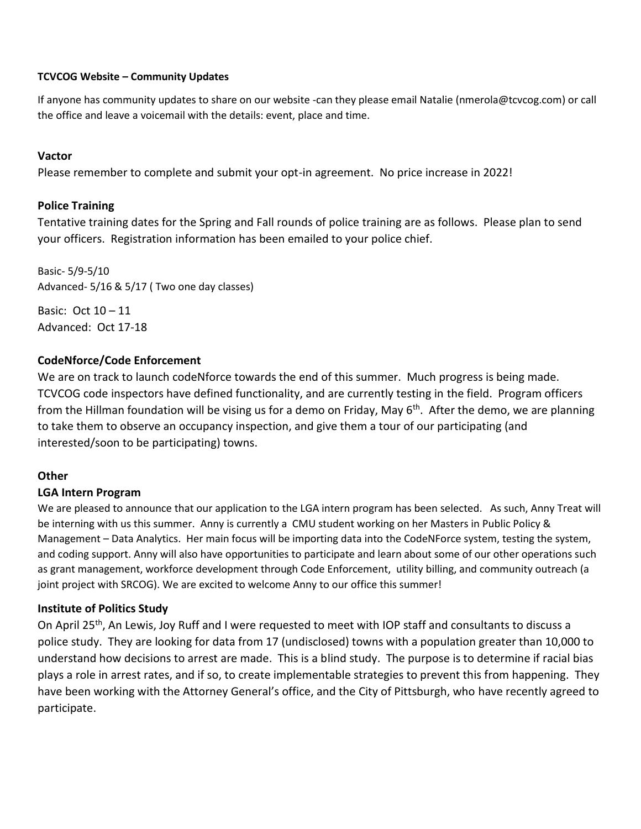#### **TCVCOG Website – Community Updates**

If anyone has community updates to share on our website -can they please email Natalie (nmerola@tcvcog.com) or call the office and leave a voicemail with the details: event, place and time.

## **Vactor**

Please remember to complete and submit your opt-in agreement. No price increase in 2022!

## **Police Training**

Tentative training dates for the Spring and Fall rounds of police training are as follows. Please plan to send your officers. Registration information has been emailed to your police chief.

Basic- 5/9-5/10 Advanced- 5/16 & 5/17 ( Two one day classes)

Basic: Oct 10 – 11 Advanced: Oct 17-18

## **CodeNforce/Code Enforcement**

We are on track to launch codeNforce towards the end of this summer. Much progress is being made. TCVCOG code inspectors have defined functionality, and are currently testing in the field. Program officers from the Hillman foundation will be vising us for a demo on Friday, May  $6<sup>th</sup>$ . After the demo, we are planning to take them to observe an occupancy inspection, and give them a tour of our participating (and interested/soon to be participating) towns.

### **Other**

### **LGA Intern Program**

We are pleased to announce that our application to the LGA intern program has been selected. As such, Anny Treat will be interning with us this summer. Anny is currently a CMU student working on her Masters in Public Policy & Management – Data Analytics. Her main focus will be importing data into the CodeNForce system, testing the system, and coding support. Anny will also have opportunities to participate and learn about some of our other operations such as grant management, workforce development through Code Enforcement, utility billing, and community outreach (a joint project with SRCOG). We are excited to welcome Anny to our office this summer!

### **Institute of Politics Study**

On April 25<sup>th</sup>, An Lewis, Joy Ruff and I were requested to meet with IOP staff and consultants to discuss a police study. They are looking for data from 17 (undisclosed) towns with a population greater than 10,000 to understand how decisions to arrest are made. This is a blind study. The purpose is to determine if racial bias plays a role in arrest rates, and if so, to create implementable strategies to prevent this from happening. They have been working with the Attorney General's office, and the City of Pittsburgh, who have recently agreed to participate.